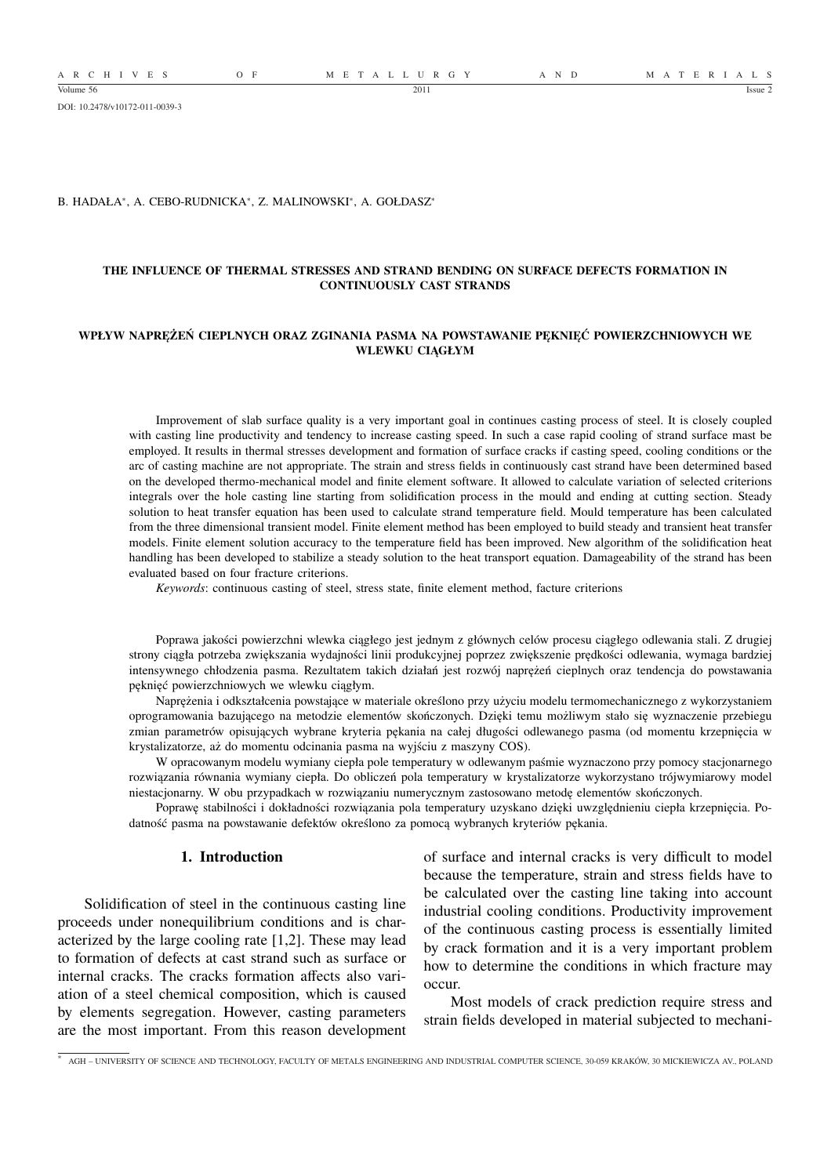A R C H I V E S O F M E T A L L U R G Y A N D M A T E R I A L S

DOI: 10.2478/v10172-011-0039-3

#### B. HADAŁA\*, A. CEBO-RUDNICKA\*, Z. MALINOWSKI\*, A. GOŁDASZ\*

## **THE INFLUENCE OF THERMAL STRESSES AND STRAND BENDING ON SURFACE DEFECTS FORMATION IN CONTINUOUSLY CAST STRANDS**

### **WPŁYW NAPRĘŻEŃ CIEPLNYCH ORAZ ZGINANIA PASMA NA POWSTAWANIE PĘKNIĘĆ POWIERZCHNIOWYCH WE WLEWKU CIĄGŁYM**

Improvement of slab surface quality is a very important goal in continues casting process of steel. It is closely coupled with casting line productivity and tendency to increase casting speed. In such a case rapid cooling of strand surface mast be employed. It results in thermal stresses development and formation of surface cracks if casting speed, cooling conditions or the arc of casting machine are not appropriate. The strain and stress fields in continuously cast strand have been determined based on the developed thermo-mechanical model and finite element software. It allowed to calculate variation of selected criterions integrals over the hole casting line starting from solidification process in the mould and ending at cutting section. Steady solution to heat transfer equation has been used to calculate strand temperature field. Mould temperature has been calculated from the three dimensional transient model. Finite element method has been employed to build steady and transient heat transfer models. Finite element solution accuracy to the temperature field has been improved. New algorithm of the solidification heat handling has been developed to stabilize a steady solution to the heat transport equation. Damageability of the strand has been evaluated based on four fracture criterions.

*Keywords*: continuous casting of steel, stress state, finite element method, facture criterions

Poprawa jakości powierzchni wlewka ciągłego jest jednym z głównych celów procesu ciągłego odlewania stali. Z drugiej strony ciągła potrzeba zwiększania wydajności linii produkcyjnej poprzez zwiększenie prędkości odlewania, wymaga bardziej intensywnego chłodzenia pasma. Rezultatem takich działań jest rozwój naprężeń cieplnych oraz tendencja do powstawania pęknięć powierzchniowych we wlewku ciągłym.

Naprężenia i odkształcenia powstające w materiale określono przy użyciu modelu termomechanicznego z wykorzystaniem oprogramowania bazującego na metodzie elementów skończonych. Dzięki temu możliwym stało się wyznaczenie przebiegu zmian parametrów opisujących wybrane kryteria pękania na całej długości odlewanego pasma (od momentu krzepnięcia w krystalizatorze, aż do momentu odcinania pasma na wyjściu z maszyny COS).

W opracowanym modelu wymiany ciepła pole temperatury w odlewanym paśmie wyznaczono przy pomocy stacjonarnego rozwiązania równania wymiany ciepła. Do obliczeń pola temperatury w krystalizatorze wykorzystano trójwymiarowy model niestacjonarny. W obu przypadkach w rozwiązaniu numerycznym zastosowano metodę elementów skończonych.

Poprawę stabilności i dokładności rozwiązania pola temperatury uzyskano dzięki uwzględnieniu ciepła krzepnięcia. Podatność pasma na powstawanie defektów określono za pomocą wybranych kryteriów pękania.

## **1. Introduction**

Solidification of steel in the continuous casting line proceeds under nonequilibrium conditions and is characterized by the large cooling rate [1,2]. These may lead to formation of defects at cast strand such as surface or internal cracks. The cracks formation affects also variation of a steel chemical composition, which is caused by elements segregation. However, casting parameters are the most important. From this reason development

of surface and internal cracks is very difficult to model because the temperature, strain and stress fields have to be calculated over the casting line taking into account industrial cooling conditions. Productivity improvement of the continuous casting process is essentially limited by crack formation and it is a very important problem how to determine the conditions in which fracture may occur.

Most models of crack prediction require stress and strain fields developed in material subjected to mechani-

<sup>∗</sup> AGH – UNIVERSITY OF SCIENCE AND TECHNOLOGY, FACULTY OF METALS ENGINEERING AND INDUSTRIAL COMPUTER SCIENCE, 30-059 KRAKÓW, 30 MICKIEWICZA AV., POLAND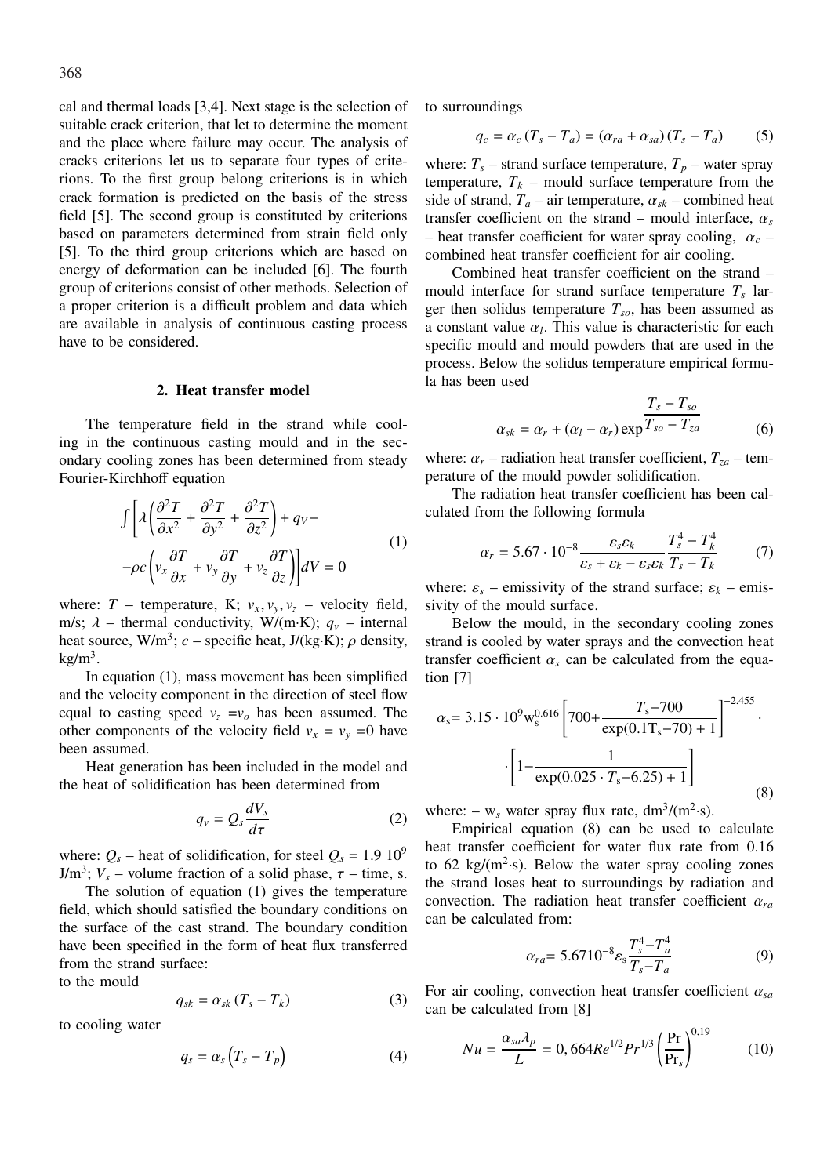cal and thermal loads [3,4]. Next stage is the selection of suitable crack criterion, that let to determine the moment and the place where failure may occur. The analysis of cracks criterions let us to separate four types of criterions. To the first group belong criterions is in which crack formation is predicted on the basis of the stress field [5]. The second group is constituted by criterions based on parameters determined from strain field only [5]. To the third group criterions which are based on energy of deformation can be included [6]. The fourth group of criterions consist of other methods. Selection of a proper criterion is a difficult problem and data which are available in analysis of continuous casting process have to be considered.

### **2. Heat transfer model**

The temperature field in the strand while cooling in the continuous casting mould and in the secondary cooling zones has been determined from steady Fourier-Kirchhoff equation

$$
\int \left[ \lambda \left( \frac{\partial^2 T}{\partial x^2} + \frac{\partial^2 T}{\partial y^2} + \frac{\partial^2 T}{\partial z^2} \right) + q_V - \right. \\
\left. - \rho c \left( v_x \frac{\partial T}{\partial x} + v_y \frac{\partial T}{\partial y} + v_z \frac{\partial T}{\partial z} \right) \right] dV = 0
$$
\n(1)

where:  $T$  – temperature, K;  $v_x$ ,  $v_y$ ,  $v_z$  – velocity field, m/s;  $\lambda$  – thermal conductivity, W/(m·K);  $q_v$  – internal heat source,  $W/m^3$ ;  $c$  – specific heat,  $J/(kg·K)$ ;  $\rho$  density,  $kg/m<sup>3</sup>$ .

In equation (1), mass movement has been simplified and the velocity component in the direction of steel flow equal to casting speed  $v_z = v_o$  has been assumed. The other components of the velocity field  $v_x = v_y = 0$  have been assumed.

Heat generation has been included in the model and the heat of solidification has been determined from

$$
q_{v} = Q_{s} \frac{dV_{s}}{d\tau}
$$
 (2)

where:  $Q_s$  – heat of solidification, for steel  $Q_s = 1.9 \, 10^9$  $J/m<sup>3</sup>$ ;  $V_s$  – volume fraction of a solid phase,  $\tau$  – time, s.

The solution of equation (1) gives the temperature field, which should satisfied the boundary conditions on the surface of the cast strand. The boundary condition have been specified in the form of heat flux transferred from the strand surface:

to the mould

$$
q_{sk} = \alpha_{sk} \left( T_s - T_k \right) \tag{3}
$$

to cooling water

$$
q_s = \alpha_s \left( T_s - T_p \right) \tag{4}
$$

to surroundings

$$
q_c = \alpha_c (T_s - T_a) = (\alpha_{ra} + \alpha_{sa}) (T_s - T_a) \tag{5}
$$

where:  $T_s$  – strand surface temperature,  $T_p$  – water spray temperature,  $T_k$  – mould surface temperature from the side of strand,  $T_a$  – air temperature,  $\alpha_{sk}$  – combined heat transfer coefficient on the strand – mould interface,  $\alpha_s$ – heat transfer coefficient for water spray cooling,  $\alpha_c$  – combined heat transfer coefficient for air cooling.

Combined heat transfer coefficient on the strand – mould interface for strand surface temperature *T<sup>s</sup>* larger then solidus temperature *Tso*, has been assumed as a constant value  $\alpha_l$ . This value is characteristic for each specific mould and mould powders that are used in the process. Below the solidus temperature empirical formula has been used

$$
\alpha_{sk} = \alpha_r + (\alpha_l - \alpha_r) \exp \frac{T_s - T_{so}}{T_{so} - T_{za}}
$$
(6)

where:  $\alpha_r$  – radiation heat transfer coefficient,  $T_{za}$  – temperature of the mould powder solidification.

The radiation heat transfer coefficient has been calculated from the following formula

$$
\alpha_r = 5.67 \cdot 10^{-8} \frac{\varepsilon_s \varepsilon_k}{\varepsilon_s + \varepsilon_k - \varepsilon_s \varepsilon_k} \frac{T_s^4 - T_k^4}{T_s - T_k} \tag{7}
$$

where:  $\varepsilon_s$  – emissivity of the strand surface;  $\varepsilon_k$  – emissivity of the mould surface.

Below the mould, in the secondary cooling zones strand is cooled by water sprays and the convection heat transfer coefficient  $\alpha_s$  can be calculated from the equation [7]

$$
\alpha_{s} = 3.15 \cdot 10^{9} \text{w}_{s}^{0.616} \left[ 700 + \frac{T_{s} - 700}{\exp(0.1T_{s} - 70) + 1} \right]^{-2.455} \cdot \left[ 1 - \frac{1}{\exp(0.025 \cdot T_{s} - 6.25) + 1} \right]
$$
(8)

where:  $-w_s$  water spray flux rate,  $dm^3/(m^2 \cdot s)$ .

Empirical equation (8) can be used to calculate heat transfer coefficient for water flux rate from 0.16 to 62 kg/ $(m^2-s)$ . Below the water spray cooling zones the strand loses heat to surroundings by radiation and convection. The radiation heat transfer coefficient  $\alpha_{ra}$ can be calculated from:

$$
\alpha_{ra} = 5.6710^{-8} \varepsilon_{s} \frac{T_{s}^{4} - T_{a}^{4}}{T_{s} - T_{a}}
$$
\n(9)

For air cooling, convection heat transfer coefficient α*sa* can be calculated from [8]

$$
Nu = \frac{\alpha_{sa} \lambda_p}{L} = 0,664 Re^{1/2} Pr^{1/3} \left(\frac{Pr}{Pr_s}\right)^{0.19}
$$
 (10)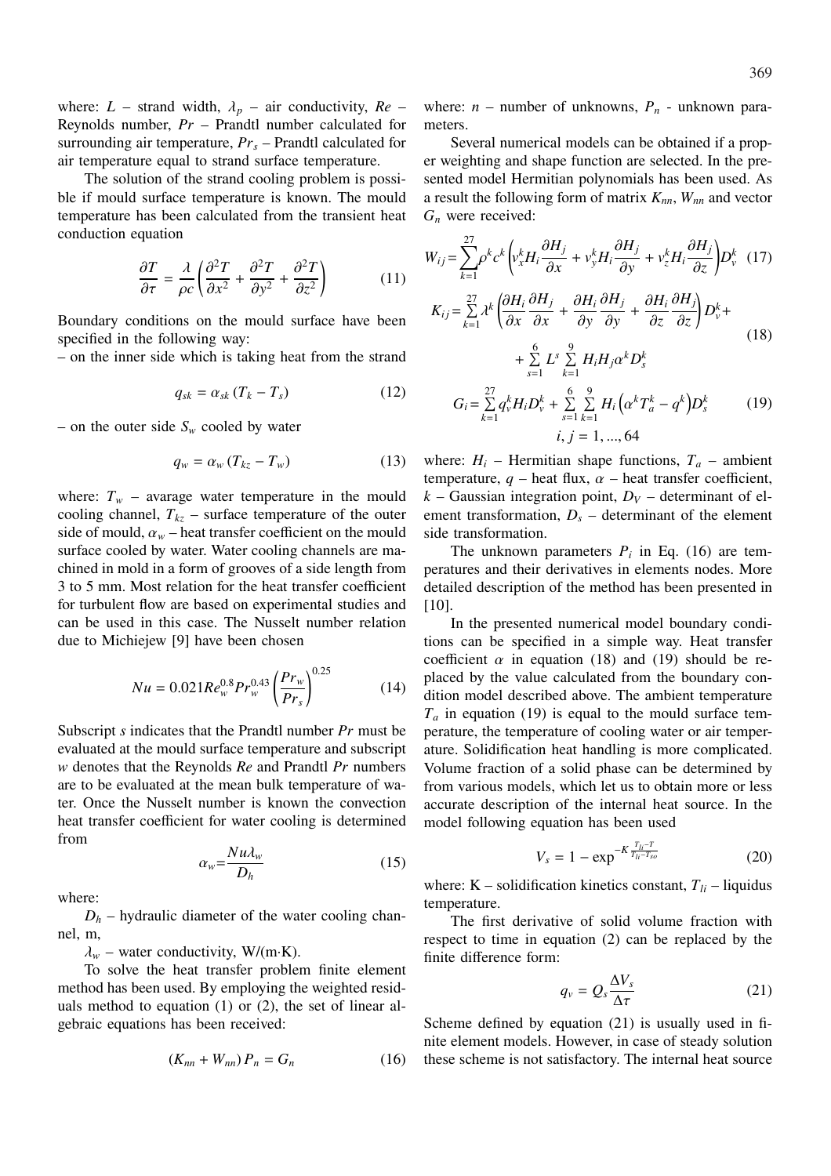where:  $L$  – strand width,  $\lambda_p$  – air conductivity,  $Re$  – Reynolds number, *Pr* – Prandtl number calculated for surrounding air temperature, *Pr<sup>s</sup>* – Prandtl calculated for air temperature equal to strand surface temperature.

The solution of the strand cooling problem is possible if mould surface temperature is known. The mould temperature has been calculated from the transient heat conduction equation

$$
\frac{\partial T}{\partial \tau} = \frac{\lambda}{\rho c} \left( \frac{\partial^2 T}{\partial x^2} + \frac{\partial^2 T}{\partial y^2} + \frac{\partial^2 T}{\partial z^2} \right) \tag{11}
$$

Boundary conditions on the mould surface have been specified in the following way:

– on the inner side which is taking heat from the strand

$$
q_{sk} = \alpha_{sk} \left( T_k - T_s \right) \tag{12}
$$

– on the outer side  $S_w$  cooled by water

$$
q_w = \alpha_w \left( T_{kz} - T_w \right) \tag{13}
$$

where:  $T_w$  – avarage water temperature in the mould cooling channel,  $T_{kz}$  – surface temperature of the outer side of mould,  $\alpha_w$  – heat transfer coefficient on the mould surface cooled by water. Water cooling channels are machined in mold in a form of grooves of a side length from 3 to 5 mm. Most relation for the heat transfer coefficient for turbulent flow are based on experimental studies and can be used in this case. The Nusselt number relation due to Michiejew [9] have been chosen

$$
Nu = 0.021 Re_w^{0.8} Pr_w^{0.43} \left(\frac{Pr_w}{Pr_s}\right)^{0.25}
$$
 (14)

Subscript *s* indicates that the Prandtl number *Pr* must be evaluated at the mould surface temperature and subscript *w* denotes that the Reynolds *Re* and Prandtl *Pr* numbers are to be evaluated at the mean bulk temperature of water. Once the Nusselt number is known the convection heat transfer coefficient for water cooling is determined from

$$
\alpha_w = \frac{Nu\lambda_w}{D_h} \tag{15}
$$

where:

 $D_h$  – hydraulic diameter of the water cooling channel, m,

 $\lambda_w$  – water conductivity, W/(m·K).

To solve the heat transfer problem finite element method has been used. By employing the weighted residuals method to equation (1) or (2), the set of linear algebraic equations has been received:

$$
(K_{nn} + W_{nn})P_n = G_n \tag{16}
$$

where:  $n -$  number of unknowns,  $P_n$  - unknown parameters.

Several numerical models can be obtained if a proper weighting and shape function are selected. In the presented model Hermitian polynomials has been used. As a result the following form of matrix *Knn*, *Wnn* and vector *G<sup>n</sup>* were received:

$$
W_{ij} = \sum_{k=1}^{27} \rho^k c^k \left( v_x^k H_i \frac{\partial H_j}{\partial x} + v_y^k H_i \frac{\partial H_j}{\partial y} + v_z^k H_i \frac{\partial H_j}{\partial z} \right) D_v^k \quad (17)
$$
  
\n
$$
K_{ij} = \sum_{k=1}^{27} \lambda^k \left( \frac{\partial H_i}{\partial x} \frac{\partial H_j}{\partial x} + \frac{\partial H_i}{\partial y} \frac{\partial H_j}{\partial y} + \frac{\partial H_i}{\partial z} \frac{\partial H_j}{\partial z} \right) D_v^k +
$$
  
\n
$$
+ \sum_{s=1}^{6} L^s \sum_{k=1}^{9} H_i H_j \alpha^k D_s^k
$$
  
\n
$$
G_i = \sum_{k=1}^{27} q_v^k H_i D_v^k + \sum_{s=1}^{6} \sum_{k=1}^{9} H_i \left( \alpha^k T_a^k - q^k \right) D_s^k \qquad (19)
$$
  
\n $i, j = 1, ..., 64$ 

where:  $H_i$  – Hermitian shape functions,  $T_a$  – ambient temperature,  $q$  – heat flux,  $\alpha$  – heat transfer coefficient,  $k$  – Gaussian integration point,  $D_V$  – determinant of element transformation,  $D_s$  – determinant of the element side transformation.

The unknown parameters  $P_i$  in Eq. (16) are temperatures and their derivatives in elements nodes. More detailed description of the method has been presented in [10].

In the presented numerical model boundary conditions can be specified in a simple way. Heat transfer coefficient  $\alpha$  in equation (18) and (19) should be replaced by the value calculated from the boundary condition model described above. The ambient temperature  $T_a$  in equation (19) is equal to the mould surface temperature, the temperature of cooling water or air temperature. Solidification heat handling is more complicated. Volume fraction of a solid phase can be determined by from various models, which let us to obtain more or less accurate description of the internal heat source. In the model following equation has been used

$$
V_s = 1 - \exp^{-K \frac{T_{li} - T}{T_{li} - T_{so}}}
$$
 (20)

where:  $K$  – solidification kinetics constant,  $T_{li}$  – liquidus temperature.

The first derivative of solid volume fraction with respect to time in equation (2) can be replaced by the finite difference form:

$$
q_{v} = Q_{s} \frac{\Delta V_{s}}{\Delta \tau}
$$
 (21)

Scheme defined by equation (21) is usually used in finite element models. However, in case of steady solution these scheme is not satisfactory. The internal heat source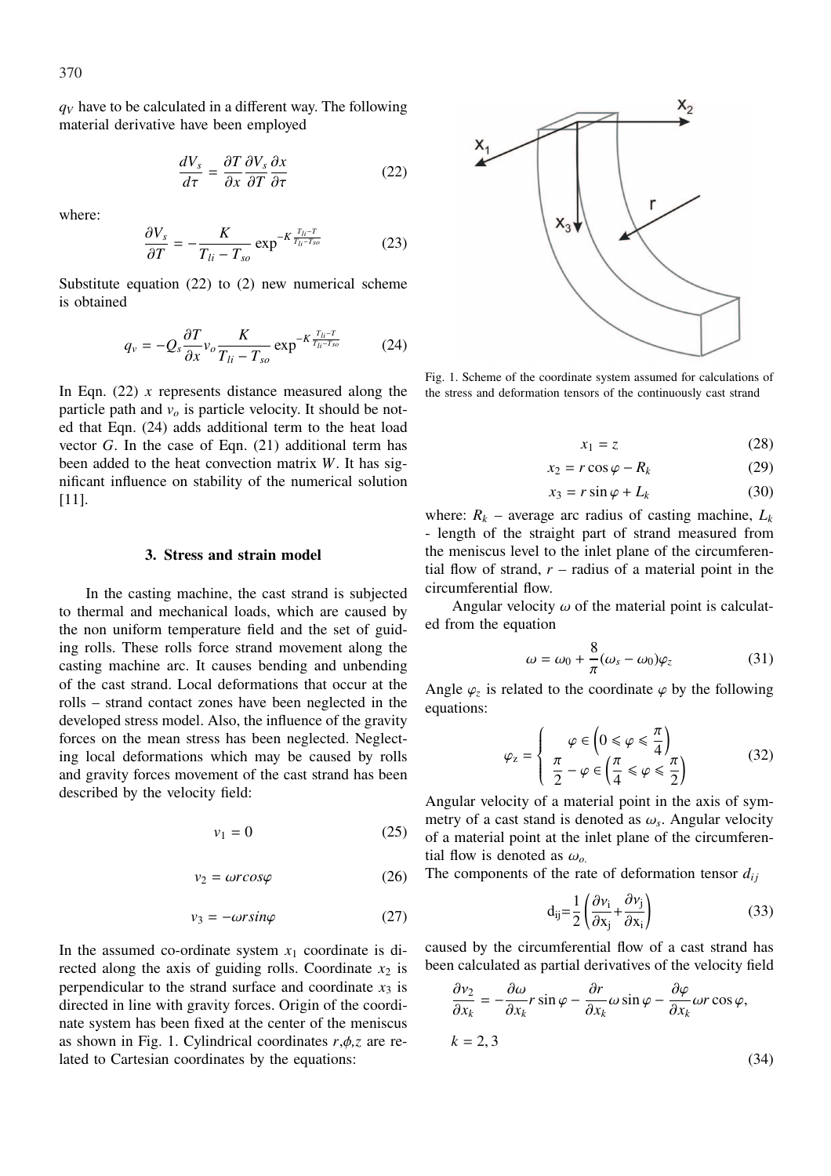*q<sup>V</sup>* have to be calculated in a different way. The following material derivative have been employed

$$
\frac{dV_s}{d\tau} = \frac{\partial T}{\partial x}\frac{\partial V_s}{\partial T}\frac{\partial x}{\partial \tau}
$$
(22)

where:

$$
\frac{\partial V_s}{\partial T} = -\frac{K}{T_{li} - T_{so}} \exp^{-K \frac{T_{li} - T}{T_{li} - T_{so}}} \tag{23}
$$

Substitute equation (22) to (2) new numerical scheme is obtained

$$
q_{\nu} = -Q_s \frac{\partial T}{\partial x} v_o \frac{K}{T_{li} - T_{so}} \exp^{-K \frac{T_{li} - T}{T_{li} - T_{so}}} \tag{24}
$$

In Eqn.  $(22)$  *x* represents distance measured along the particle path and  $v<sub>o</sub>$  is particle velocity. It should be noted that Eqn. (24) adds additional term to the heat load vector *G*. In the case of Eqn. (21) additional term has been added to the heat convection matrix *W*. It has significant influence on stability of the numerical solution [11].

### **3. Stress and strain model**

In the casting machine, the cast strand is subjected to thermal and mechanical loads, which are caused by the non uniform temperature field and the set of guiding rolls. These rolls force strand movement along the casting machine arc. It causes bending and unbending of the cast strand. Local deformations that occur at the rolls – strand contact zones have been neglected in the developed stress model. Also, the influence of the gravity forces on the mean stress has been neglected. Neglecting local deformations which may be caused by rolls and gravity forces movement of the cast strand has been described by the velocity field:

$$
v_1 = 0 \tag{25}
$$

$$
v_2 = \omega r \cos \varphi \tag{26}
$$

$$
v_3 = -\omega r \sin \varphi \tag{27}
$$

In the assumed co-ordinate system  $x_1$  coordinate is directed along the axis of guiding rolls. Coordinate  $x_2$  is perpendicular to the strand surface and coordinate  $x_3$  is directed in line with gravity forces. Origin of the coordinate system has been fixed at the center of the meniscus as shown in Fig. 1. Cylindrical coordinates *r*,φ*,z* are related to Cartesian coordinates by the equations:



Fig. 1. Scheme of the coordinate system assumed for calculations of the stress and deformation tensors of the continuously cast strand

$$
x_1 = z \tag{28}
$$

$$
x_2 = r \cos \varphi - R_k \tag{29}
$$

$$
x_3 = r \sin \varphi + L_k \tag{30}
$$

where:  $R_k$  – average arc radius of casting machine,  $L_k$ - length of the straight part of strand measured from the meniscus level to the inlet plane of the circumferential flow of strand,  $r$  – radius of a material point in the circumferential flow.

Angular velocity  $\omega$  of the material point is calculated from the equation

$$
\omega = \omega_0 + \frac{8}{\pi} (\omega_s - \omega_0) \varphi_z \tag{31}
$$

Angle  $\varphi$ <sub>z</sub> is related to the coordinate  $\varphi$  by the following equations:

$$
\varphi_z = \begin{cases} \varphi \in \left(0 \le \varphi \le \frac{\pi}{4}\right) \\ \frac{\pi}{2} - \varphi \in \left(\frac{\pi}{4} \le \varphi \le \frac{\pi}{2}\right) \end{cases}
$$
 (32)

Angular velocity of a material point in the axis of symmetry of a cast stand is denoted as  $\omega_s$ . Angular velocity of a material point at the inlet plane of the circumferential flow is denoted as  $\omega_{o}$ .

The components of the rate of deformation tensor  $d_{ij}$ 

$$
d_{ij} = \frac{1}{2} \left( \frac{\partial v_i}{\partial x_j} + \frac{\partial v_j}{\partial x_i} \right)
$$
 (33)

caused by the circumferential flow of a cast strand has been calculated as partial derivatives of the velocity field

$$
\frac{\partial v_2}{\partial x_k} = -\frac{\partial \omega}{\partial x_k} r \sin \varphi - \frac{\partial r}{\partial x_k} \omega \sin \varphi - \frac{\partial \varphi}{\partial x_k} \omega r \cos \varphi,
$$
  

$$
k = 2, 3
$$
 (34)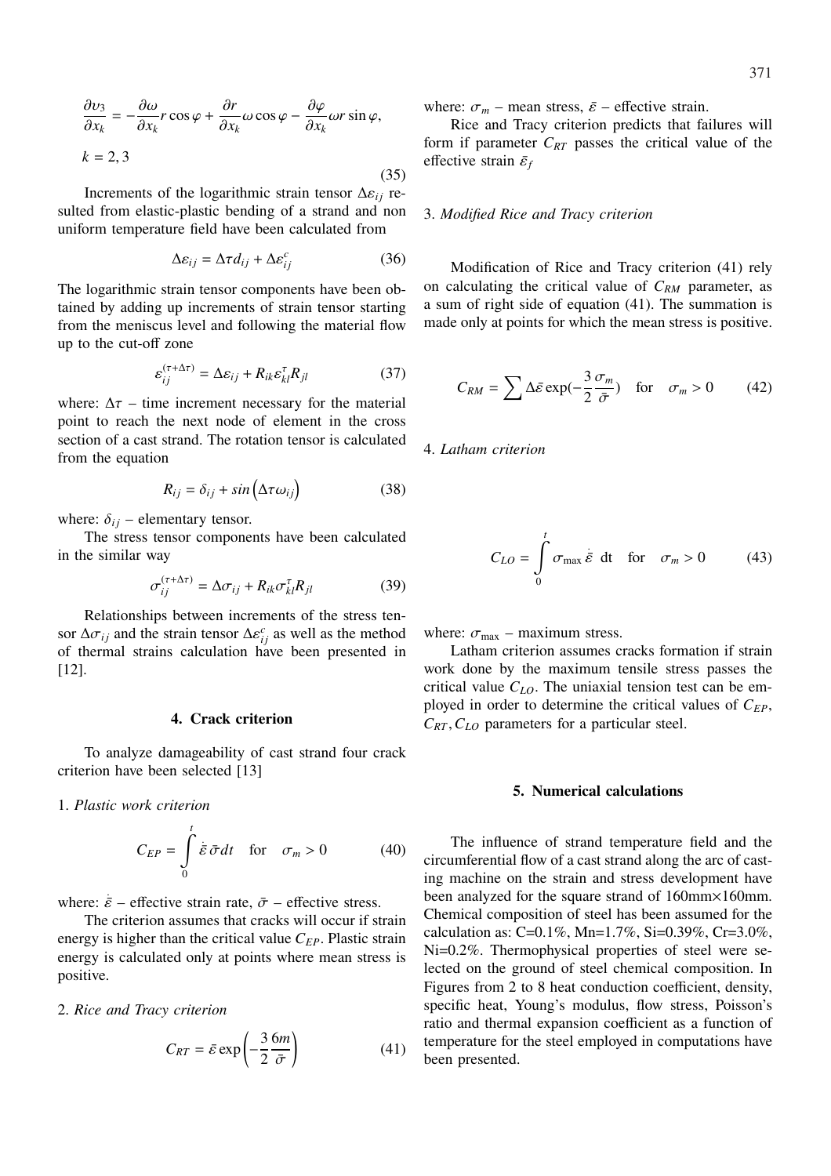$$
\frac{\partial v_3}{\partial x_k} = -\frac{\partial \omega}{\partial x_k} r \cos \varphi + \frac{\partial r}{\partial x_k} \omega \cos \varphi - \frac{\partial \varphi}{\partial x_k} \omega r \sin \varphi,
$$
  

$$
k = 2, 3
$$
 (35)

Increments of the logarithmic strain tensor ∆ε*ij* resulted from elastic-plastic bending of a strand and non uniform temperature field have been calculated from

$$
\Delta \varepsilon_{ij} = \Delta \tau d_{ij} + \Delta \varepsilon_{ij}^c \tag{36}
$$

The logarithmic strain tensor components have been obtained by adding up increments of strain tensor starting from the meniscus level and following the material flow up to the cut-off zone

$$
\varepsilon_{ij}^{(\tau+\Delta\tau)} = \Delta\varepsilon_{ij} + R_{ik}\varepsilon_{kl}^{\tau}R_{jl} \tag{37}
$$

where:  $\Delta \tau$  – time increment necessary for the material point to reach the next node of element in the cross section of a cast strand. The rotation tensor is calculated from the equation

$$
R_{ij} = \delta_{ij} + \sin(\Delta \tau \omega_{ij})
$$
 (38)

where:  $\delta_{ij}$  – elementary tensor.

The stress tensor components have been calculated in the similar way

$$
\sigma_{ij}^{(\tau+\Delta\tau)} = \Delta \sigma_{ij} + R_{ik} \sigma_{kl}^{\tau} R_{jl} \tag{39}
$$

Relationships between increments of the stress tensor  $\Delta \sigma_{ij}$  and the strain tensor  $\Delta \varepsilon_{ij}^c$  as well as the method of thermal strains calculation have been presented in [12].

## **4. Crack criterion**

To analyze damageability of cast strand four crack criterion have been selected [13]

1. *Plastic work criterion*

$$
C_{EP} = \int_{0}^{t} \dot{\bar{\varepsilon}} \, \bar{\sigma} dt \quad \text{for} \quad \sigma_m > 0 \tag{40}
$$

where:  $\dot{\bar{\varepsilon}}$  – effective strain rate,  $\bar{\sigma}$  – effective stress.

The criterion assumes that cracks will occur if strain energy is higher than the critical value *CEP*. Plastic strain energy is calculated only at points where mean stress is positive.

2. *Rice and Tracy criterion*

$$
C_{RT} = \bar{\varepsilon} \exp\left(-\frac{3}{2} \frac{6m}{\bar{\sigma}}\right) \tag{41}
$$

where:  $\sigma_m$  – mean stress,  $\bar{\varepsilon}$  – effective strain.

Rice and Tracy criterion predicts that failures will form if parameter *CRT* passes the critical value of the effective strain  $\bar{\varepsilon}_f$ 

#### 3. *Modified Rice and Tracy criterion*

Modification of Rice and Tracy criterion (41) rely on calculating the critical value of *CRM* parameter, as a sum of right side of equation (41). The summation is made only at points for which the mean stress is positive.

$$
C_{RM} = \sum \Delta \bar{\varepsilon} \exp(-\frac{3}{2} \frac{\sigma_m}{\bar{\sigma}}) \quad \text{for} \quad \sigma_m > 0 \tag{42}
$$

# 4. *Latham criterion*

$$
C_{LO} = \int_{0}^{t} \sigma_{\text{max}} \dot{\varepsilon} dt \quad \text{for} \quad \sigma_m > 0 \tag{43}
$$

where:  $\sigma_{\text{max}}$  – maximum stress.

Latham criterion assumes cracks formation if strain work done by the maximum tensile stress passes the critical value *CLO*. The uniaxial tension test can be employed in order to determine the critical values of *CEP*, *CRT* ,*CLO* parameters for a particular steel.

### **5. Numerical calculations**

The influence of strand temperature field and the circumferential flow of a cast strand along the arc of casting machine on the strain and stress development have been analyzed for the square strand of 160mm×160mm. Chemical composition of steel has been assumed for the calculation as: C=0.1%, Mn=1.7%, Si=0.39%, Cr=3.0%, Ni=0.2%. Thermophysical properties of steel were selected on the ground of steel chemical composition. In Figures from 2 to 8 heat conduction coefficient, density, specific heat, Young's modulus, flow stress, Poisson's ratio and thermal expansion coefficient as a function of temperature for the steel employed in computations have been presented.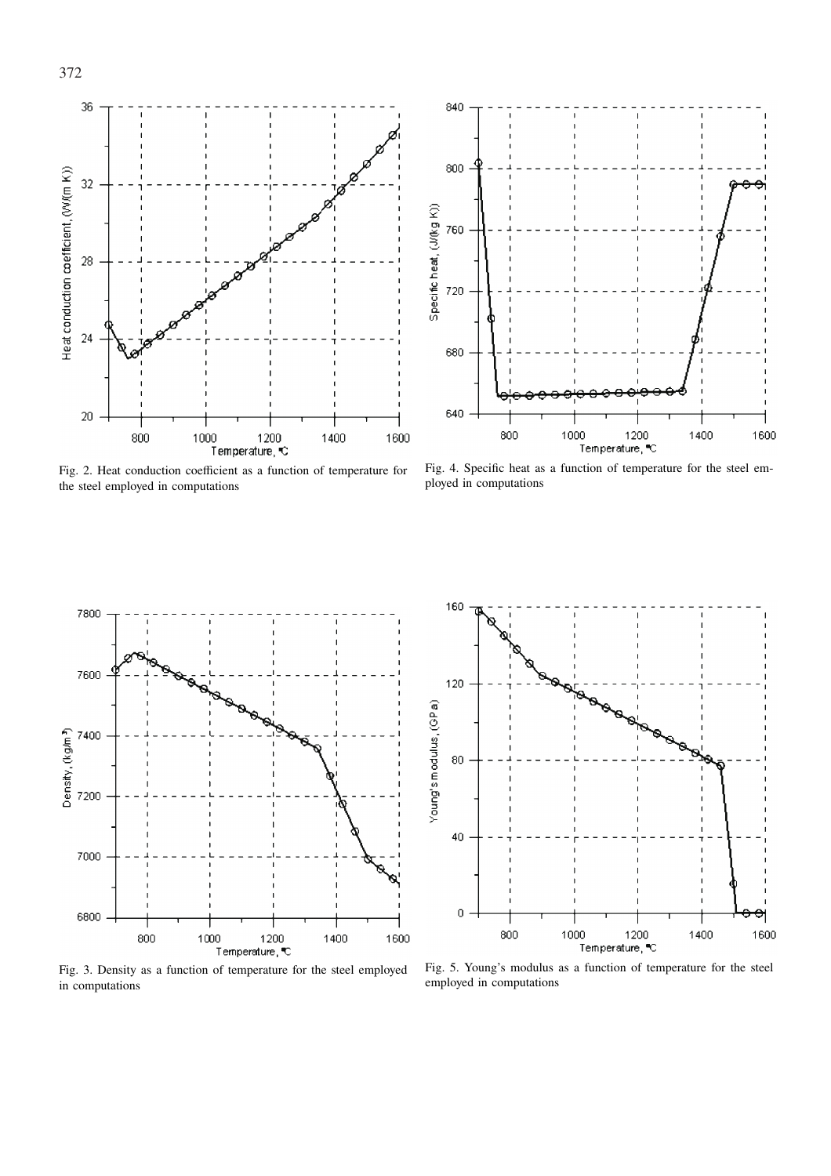

Fig. 2. Heat conduction coefficient as a function of temperature for the steel employed in computations



Fig. 4. Specific heat as a function of temperature for the steel employed in computations



Fig. 3. Density as a function of temperature for the steel employed in computations



Fig. 5. Young's modulus as a function of temperature for the steel employed in computations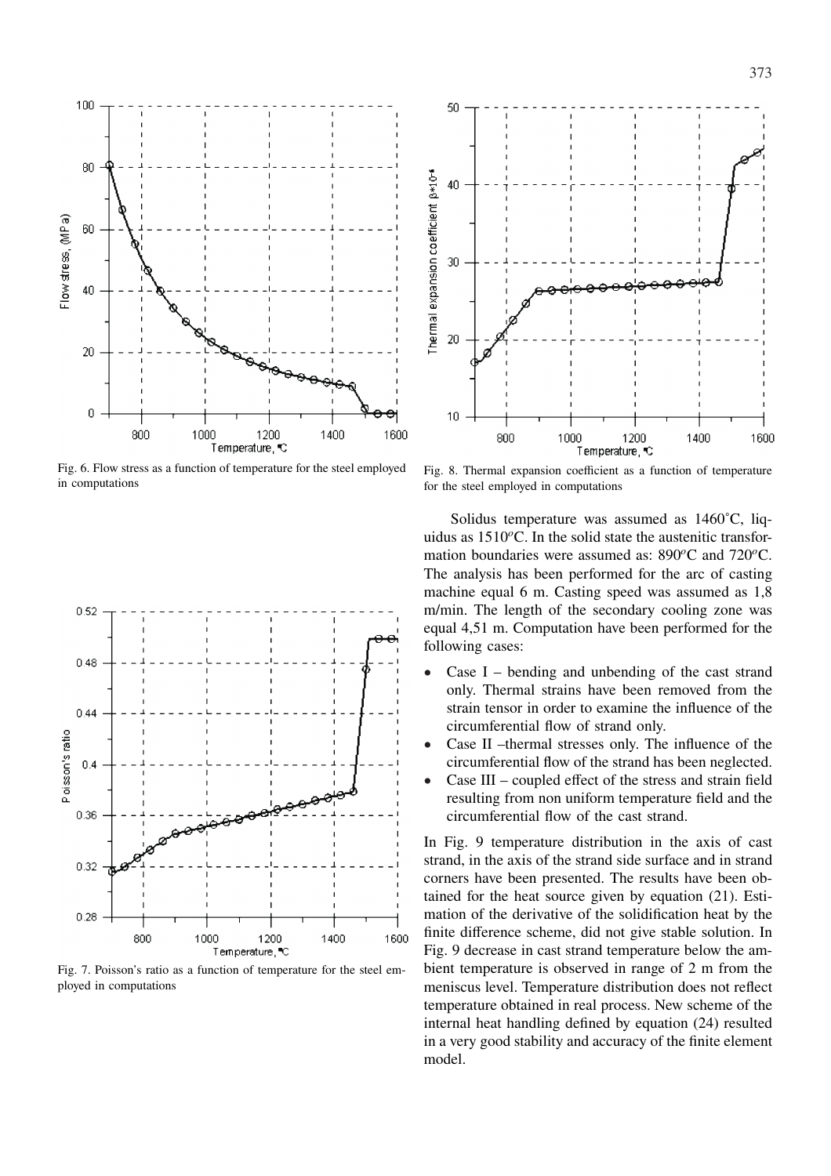

Fig. 6. Flow stress as a function of temperature for the steel employed in computations



Fig. 7. Poisson's ratio as a function of temperature for the steel employed in computations



Fig. 8. Thermal expansion coefficient as a function of temperature for the steel employed in computations

Solidus temperature was assumed as 1460˚C, liquidus as 1510<sup>o</sup>C. In the solid state the austenitic transformation boundaries were assumed as: 890<sup>o</sup>C and 720<sup>o</sup>C. The analysis has been performed for the arc of casting machine equal 6 m. Casting speed was assumed as 1,8 m/min. The length of the secondary cooling zone was equal 4,51 m. Computation have been performed for the following cases:

- Case I bending and unbending of the cast strand only. Thermal strains have been removed from the strain tensor in order to examine the influence of the circumferential flow of strand only.
- Case II –thermal stresses only. The influence of the circumferential flow of the strand has been neglected.
- Case III coupled effect of the stress and strain field resulting from non uniform temperature field and the circumferential flow of the cast strand.

In Fig. 9 temperature distribution in the axis of cast strand, in the axis of the strand side surface and in strand corners have been presented. The results have been obtained for the heat source given by equation (21). Estimation of the derivative of the solidification heat by the finite difference scheme, did not give stable solution. In Fig. 9 decrease in cast strand temperature below the ambient temperature is observed in range of 2 m from the meniscus level. Temperature distribution does not reflect temperature obtained in real process. New scheme of the internal heat handling defined by equation (24) resulted in a very good stability and accuracy of the finite element model.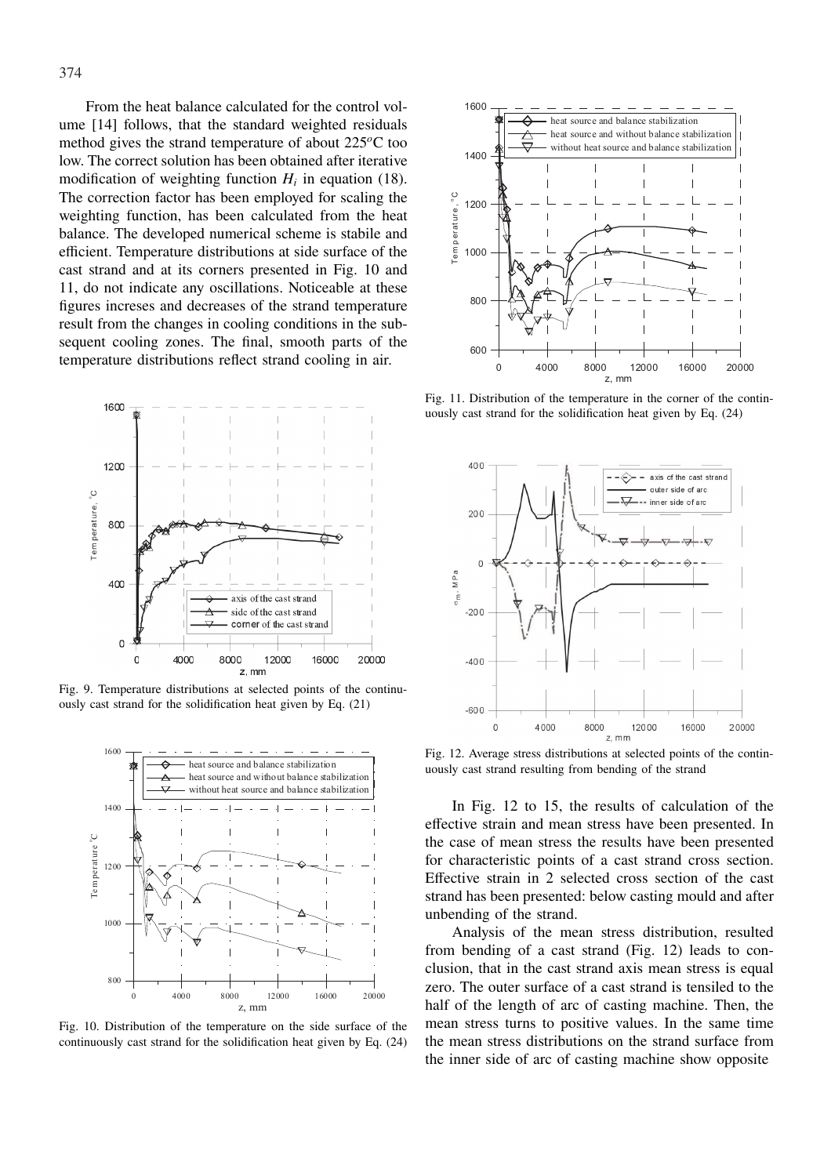From the heat balance calculated for the control volume [14] follows, that the standard weighted residuals method gives the strand temperature of about 225*<sup>o</sup>*C too low. The correct solution has been obtained after iterative modification of weighting function  $H_i$  in equation (18). The correction factor has been employed for scaling the weighting function, has been calculated from the heat balance. The developed numerical scheme is stabile and efficient. Temperature distributions at side surface of the cast strand and at its corners presented in Fig. 10 and 11, do not indicate any oscillations. Noticeable at these figures increses and decreases of the strand temperature result from the changes in cooling conditions in the subsequent cooling zones. The final, smooth parts of the temperature distributions reflect strand cooling in air.



Fig. 9. Temperature distributions at selected points of the continuously cast strand for the solidification heat given by Eq. (21)



Fig. 10. Distribution of the temperature on the side surface of the continuously cast strand for the solidification heat given by Eq. (24)



Fig. 11. Distribution of the temperature in the corner of the continuously cast strand for the solidification heat given by Eq. (24)



Fig. 12. Average stress distributions at selected points of the continuously cast strand resulting from bending of the strand

In Fig. 12 to 15, the results of calculation of the effective strain and mean stress have been presented. In the case of mean stress the results have been presented for characteristic points of a cast strand cross section. Effective strain in 2 selected cross section of the cast strand has been presented: below casting mould and after unbending of the strand.

Analysis of the mean stress distribution, resulted from bending of a cast strand (Fig. 12) leads to conclusion, that in the cast strand axis mean stress is equal zero. The outer surface of a cast strand is tensiled to the half of the length of arc of casting machine. Then, the mean stress turns to positive values. In the same time the mean stress distributions on the strand surface from the inner side of arc of casting machine show opposite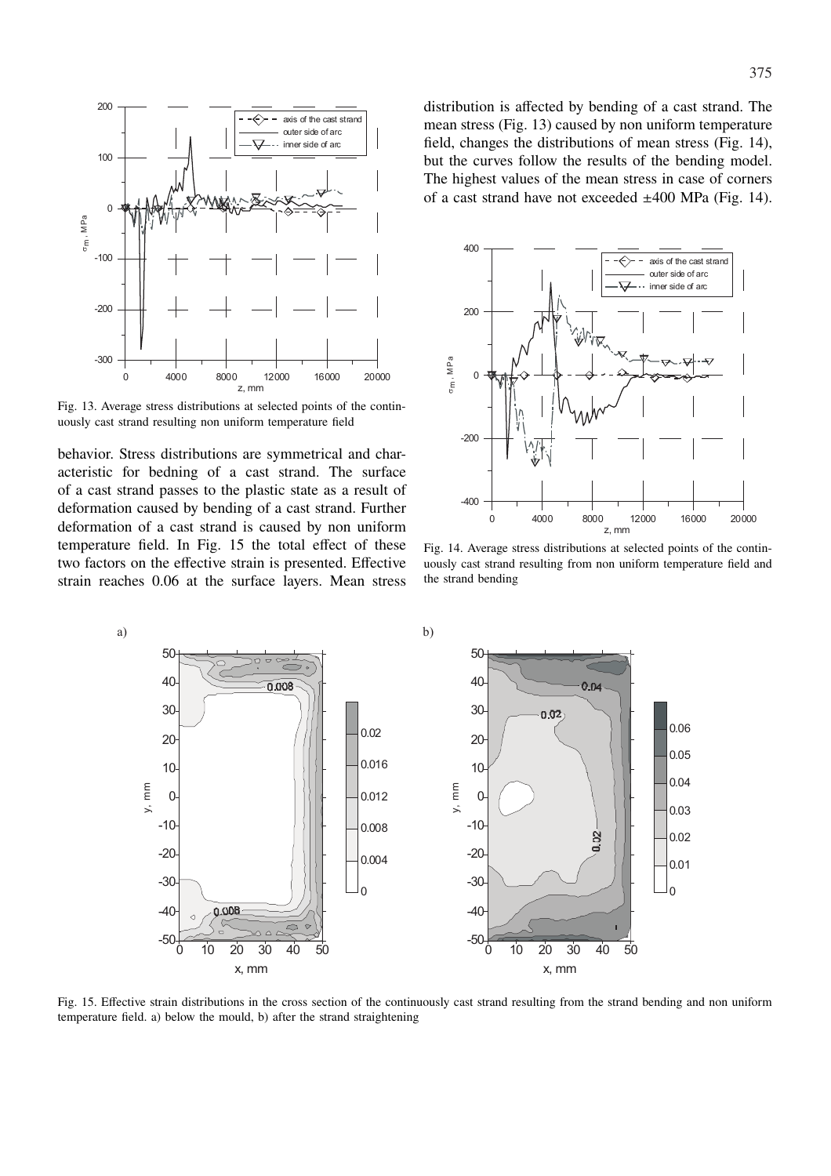

Fig. 13. Average stress distributions at selected points of the continuously cast strand resulting non uniform temperature field

behavior. Stress distributions are symmetrical and characteristic for bedning of a cast strand. The surface of a cast strand passes to the plastic state as a result of deformation caused by bending of a cast strand. Further deformation of a cast strand is caused by non uniform temperature field. In Fig. 15 the total effect of these two factors on the effective strain is presented. Effective strain reaches 0.06 at the surface layers. Mean stress

distribution is affected by bending of a cast strand. The mean stress (Fig. 13) caused by non uniform temperature field, changes the distributions of mean stress (Fig. 14), but the curves follow the results of the bending model. The highest values of the mean stress in case of corners of a cast strand have not exceeded  $\pm 400$  MPa (Fig. 14).



Fig. 14. Average stress distributions at selected points of the continuously cast strand resulting from non uniform temperature field and the strand bending



Fig. 15. Effective strain distributions in the cross section of the continuously cast strand resulting from the strand bending and non uniform temperature field. a) below the mould, b) after the strand straightening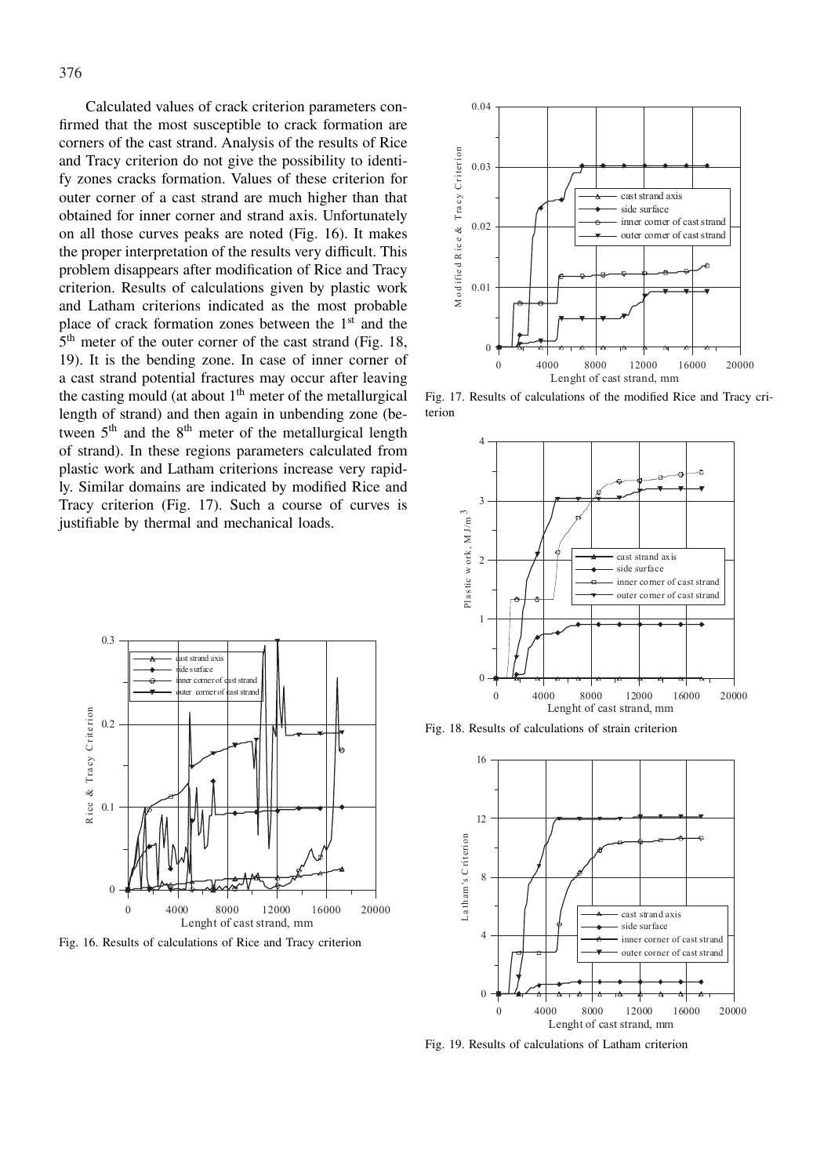Calculated values of crack criterion parameters confirmed that the most susceptible to crack formation are corners of the cast strand. Analysis of the results of Rice and Tracy criterion do not give the possibility to identify zones cracks formation. Values of these criterion for outer corner of a cast strand are much higher than that obtained for inner corner and strand axis. Unfortunately on all those curves peaks are noted (Fig. 16). It makes the proper interpretation of the results very difficult. This problem disappears after modification of Rice and Tracy criterion. Results of calculations given by plastic work and Latham criterions indicated as the most probable place of crack formation zones between the  $1<sup>st</sup>$  and the 5<sup>th</sup> meter of the outer corner of the cast strand (Fig. 18, 19). It is the bending zone. In case of inner corner of a cast strand potential fractures may occur after leaving the casting mould (at about  $1<sup>th</sup>$  meter of the metallurgical length of strand) and then again in unbending zone (between  $5<sup>th</sup>$  and the  $8<sup>th</sup>$  meter of the metallurgical length of strand). In these regions parameters calculated from plastic work and Latham criterions increase very rapidly. Similar domains are indicated by modified Rice and Tracy criterion (Fig. 17). Such a course of curves is justifiable by thermal and mechanical loads.



Fig. 17. Results of calculations of the modified Rice and Tracy criterion





Fig. 16. Results of calculations of Rice and Tracy criterion

Fig. 18. Results of calculations of strain criterion



Fig. 19. Results of calculations of Latham criterion